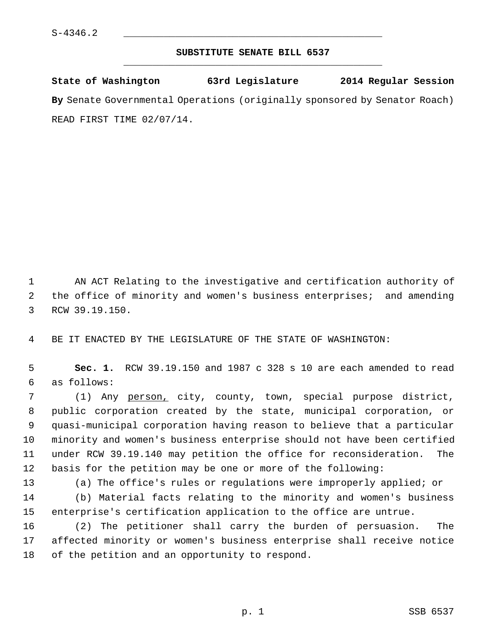## **SUBSTITUTE SENATE BILL 6537** \_\_\_\_\_\_\_\_\_\_\_\_\_\_\_\_\_\_\_\_\_\_\_\_\_\_\_\_\_\_\_\_\_\_\_\_\_\_\_\_\_\_\_\_\_

**State of Washington 63rd Legislature 2014 Regular Session By** Senate Governmental Operations (originally sponsored by Senator Roach) READ FIRST TIME 02/07/14.

 1 AN ACT Relating to the investigative and certification authority of 2 the office of minority and women's business enterprises; and amending 3 RCW 39.19.150.

4 BE IT ENACTED BY THE LEGISLATURE OF THE STATE OF WASHINGTON:

 5 **Sec. 1.** RCW 39.19.150 and 1987 c 328 s 10 are each amended to read 6 as follows:

 7 (1) Any person, city, county, town, special purpose district, 8 public corporation created by the state, municipal corporation, or 9 quasi-municipal corporation having reason to believe that a particular 10 minority and women's business enterprise should not have been certified 11 under RCW 39.19.140 may petition the office for reconsideration. The 12 basis for the petition may be one or more of the following:

13 (a) The office's rules or regulations were improperly applied; or 14 (b) Material facts relating to the minority and women's business 15 enterprise's certification application to the office are untrue.

16 (2) The petitioner shall carry the burden of persuasion. The 17 affected minority or women's business enterprise shall receive notice 18 of the petition and an opportunity to respond.